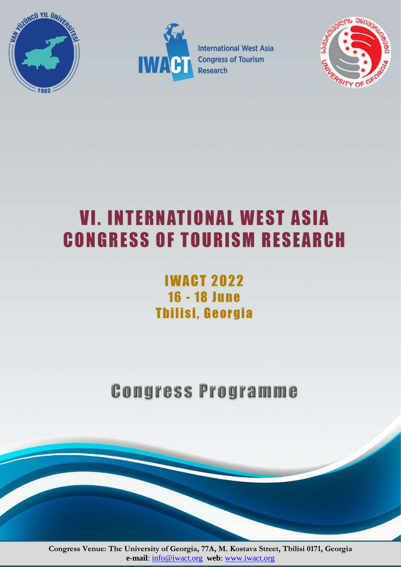



**International West Asia Congress of Tourism** Research



# **VI. INTERNATIONAL WEST ASIA CONGRESS OF TOURISM RESEARCH**

# **IWACT 2022 16 - 18 June Thilisi, Georgia**

**Congress Programme** 

**Congress Venue: The University of Georgia, 77A, M. Kostava Street, Tbilisi 0171, Georgia e-mail**: [info@iwact.org](mailto:info@iwact.org) **web**: [www.iwact.org](http://www.iwact.org/)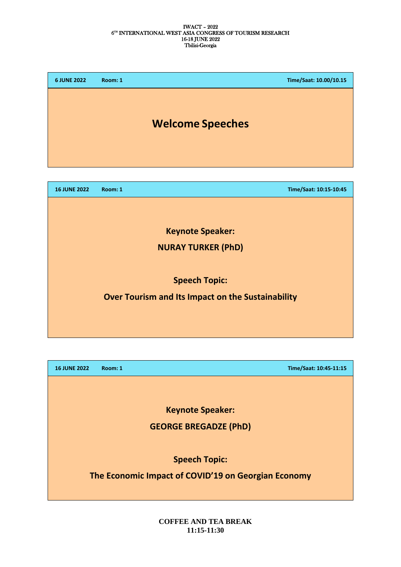| <b>6 JUNE 2022</b>        | Room: 1                                           | Time/Saat: 10.00/10.15 |
|---------------------------|---------------------------------------------------|------------------------|
|                           | <b>Welcome Speeches</b>                           |                        |
|                           |                                                   |                        |
| <b>16 JUNE 2022</b>       | Room: 1                                           | Time/Saat: 10:15-10:45 |
|                           |                                                   |                        |
|                           | <b>Keynote Speaker:</b>                           |                        |
| <b>NURAY TURKER (PhD)</b> |                                                   |                        |
|                           |                                                   |                        |
| <b>Speech Topic:</b>      |                                                   |                        |
|                           | Over Tourism and Its Impact on the Sustainability |                        |

**16 JUNE 2022 Room: 1 Time/Saat: 10:45-11:15**

**Keynote Speaker:** 

**GEORGE BREGADZE (PhD)**

**Speech Topic:** 

**The Economic Impact of COVID'19 on Georgian Economy**

**COFFEE AND TEA BREAK 11:15-11:30**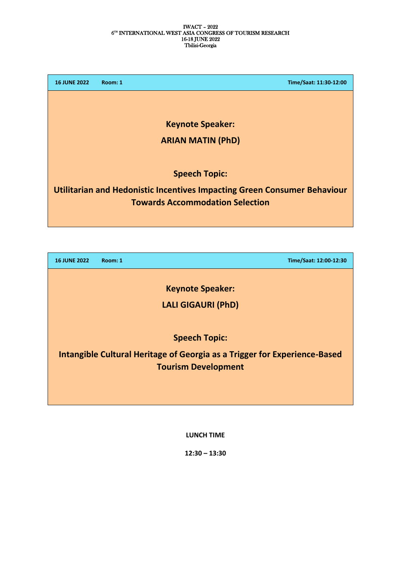| <b>16 JUNE 2022</b> | Time/Saat: 11:30-12:00<br>Room: 1                                               |
|---------------------|---------------------------------------------------------------------------------|
|                     |                                                                                 |
|                     | <b>Keynote Speaker:</b>                                                         |
|                     | <b>ARIAN MATIN (PhD)</b>                                                        |
|                     |                                                                                 |
|                     | <b>Speech Topic:</b>                                                            |
|                     | <b>Utilitarian and Hedonistic Incentives Impacting Green Consumer Behaviour</b> |
|                     | <b>Towards Accommodation Selection</b>                                          |
|                     |                                                                                 |
|                     |                                                                                 |

**16 JUNE 2022 Room: 1 Time/Saat: 12:00-12:30**

**Keynote Speaker:** 

**LALI GIGAURI (PhD)**

**Speech Topic:** 

**Intangible Cultural Heritage of Georgia as a Trigger for Experience-Based Tourism Development**

**LUNCH TIME**

**12:30 – 13:30**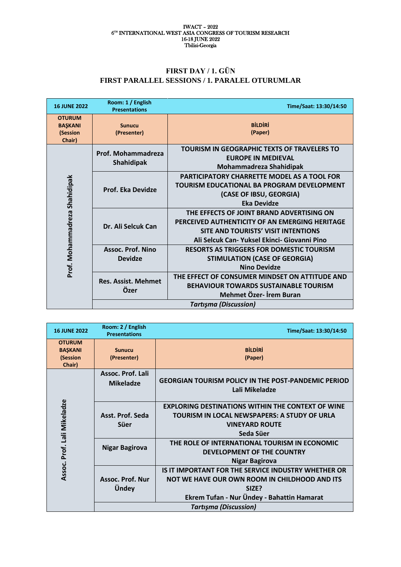### **FIRST DAY / 1. GÜN FIRST PARALLEL SESSIONS / 1. PARALEL OTURUMLAR**

| <b>16 JUNE 2022</b>                                   | Room: 1 / English<br><b>Presentations</b>  | Time/Saat: 13:30/14:50                                                                                                                                                                    |
|-------------------------------------------------------|--------------------------------------------|-------------------------------------------------------------------------------------------------------------------------------------------------------------------------------------------|
| <b>OTURUM</b><br><b>BAŞKANI</b><br>(Session<br>Chair) | <b>Sunucu</b><br>(Presenter)               | <b>BİLDİRİ</b><br>(Paper)                                                                                                                                                                 |
|                                                       | Prof. Mohammadreza<br><b>Shahidipak</b>    | <b>TOURISM IN GEOGRAPHIC TEXTS OF TRAVELERS TO</b><br><b>EUROPE IN MEDIEVAL</b><br>Mohammadreza Shahidipak                                                                                |
|                                                       | <b>Prof. Eka Devidze</b>                   | PARTICIPATORY CHARRETTE MODEL AS A TOOL FOR<br>TOURISM EDUCATIONAL BA PROGRAM DEVELOPMENT<br>(CASE OF IBSU, GEORGIA)<br><b>Eka Devidze</b>                                                |
| Prof. Mohammadreza Shahidipak                         | Dr. Ali Selcuk Can                         | THE EFFECTS OF JOINT BRAND ADVERTISING ON<br>PERCEIVED AUTHENTICITY OF AN EMERGING HERITAGE<br><b>SITE AND TOURISTS' VISIT INTENTIONS</b><br>Ali Selcuk Can- Yuksel Ekinci- Giovanni Pino |
|                                                       | <b>Assoc. Prof. Nino</b><br><b>Devidze</b> | <b>RESORTS AS TRIGGERS FOR DOMESTIC TOURISM</b><br><b>STIMULATION (CASE OF GEORGIA)</b><br><b>Nino Devidze</b>                                                                            |
|                                                       | <b>Res. Assist. Mehmet</b><br>Özer         | THE EFFECT OF CONSUMER MINDSET ON ATTITUDE AND<br><b>BEHAVIOUR TOWARDS SUSTAINABLE TOURISM</b><br>Mehmet Özer- İrem Buran                                                                 |
|                                                       | <b>Tartışma (Discussion)</b>               |                                                                                                                                                                                           |

| <b>16 JUNE 2022</b>                                   | Room: 2 / English<br><b>Presentations</b> | Time/Saat: 13:30/14:50                                                                                                                                      |
|-------------------------------------------------------|-------------------------------------------|-------------------------------------------------------------------------------------------------------------------------------------------------------------|
| <b>OTURUM</b><br><b>BASKANI</b><br>(Session<br>Chair) | <b>Sunucu</b><br>(Presenter)              | <b>BİLDİRİ</b><br>(Paper)                                                                                                                                   |
| Assoc. Prof. Lali Mikeladze                           | Assoc. Prof. Lali<br><b>Mikeladze</b>     | <b>GEORGIAN TOURISM POLICY IN THE POST-PANDEMIC PERIOD</b><br>Lali Mikeladze                                                                                |
|                                                       | Asst. Prof. Seda<br>Süer                  | <b>EXPLORING DESTINATIONS WITHIN THE CONTEXT OF WINE</b><br>TOURISM IN LOCAL NEWSPAPERS: A STUDY OF URLA<br><b>VINEYARD ROUTE</b><br>Seda Süer              |
|                                                       | <b>Nigar Bagirova</b>                     | THE ROLE OF INTERNATIONAL TOURISM IN ECONOMIC<br>DEVELOPMENT OF THE COUNTRY<br><b>Nigar Bagirova</b>                                                        |
|                                                       | Assoc. Prof. Nur<br>Ündey                 | IS IT IMPORTANT FOR THE SERVICE INDUSTRY WHETHER OR<br>NOT WE HAVE OUR OWN ROOM IN CHILDHOOD AND ITS<br>SIZE?<br>Ekrem Tufan - Nur Ündey - Bahattin Hamarat |
|                                                       |                                           | <b>Tartışma (Discussion)</b>                                                                                                                                |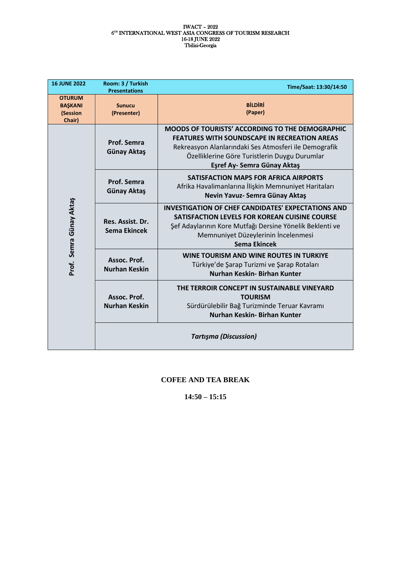| <b>16 JUNE 2022</b>                                   | Room: 3 / Turkish<br><b>Presentations</b> | Time/Saat: 13:30/14:50                                                                                                                                                                                                                                 |
|-------------------------------------------------------|-------------------------------------------|--------------------------------------------------------------------------------------------------------------------------------------------------------------------------------------------------------------------------------------------------------|
| <b>OTURUM</b><br><b>BASKANI</b><br>(Session<br>Chair) | <b>Sunucu</b><br>(Presenter)              | <b>BİLDİRİ</b><br>(Paper)                                                                                                                                                                                                                              |
| Prof. Semra Günay Aktaş                               | Prof. Semra<br><b>Günay Aktaş</b>         | <b>MOODS OF TOURISTS' ACCORDING TO THE DEMOGRAPHIC</b><br><b>FEATURES WITH SOUNDSCAPE IN RECREATION AREAS</b><br>Rekreasyon Alanlarındaki Ses Atmosferi ile Demografik<br>Özelliklerine Göre Turistlerin Duygu Durumlar<br>Eşref Ay- Semra Günay Aktaş |
|                                                       | Prof. Semra<br>Günay Aktaş                | <b>SATISFACTION MAPS FOR AFRICA AIRPORTS</b><br>Afrika Havalimanlarına İlişkin Memnuniyet Haritaları<br>Nevin Yavuz- Semra Günay Aktaş                                                                                                                 |
|                                                       | Res. Assist. Dr.<br>Sema Ekincek          | <b>INVESTIGATION OF CHEF CANDIDATES' EXPECTATIONS AND</b><br>SATISFACTION LEVELS FOR KOREAN CUISINE COURSE<br>Şef Adaylarının Kore Mutfağı Dersine Yönelik Beklenti ve<br>Memnuniyet Düzeylerinin İncelenmesi<br>Sema Ekincek                          |
|                                                       | Assoc. Prof.<br><b>Nurhan Keskin</b>      | WINE TOURISM AND WINE ROUTES IN TURKIYE<br>Türkiye'de Şarap Turizmi ve Şarap Rotaları<br>Nurhan Keskin- Birhan Kunter                                                                                                                                  |
|                                                       | Assoc. Prof.<br><b>Nurhan Keskin</b>      | THE TERROIR CONCEPT IN SUSTAINABLE VINEYARD<br><b>TOURISM</b><br>Sürdürülebilir Bağ Turizminde Teruar Kavramı<br>Nurhan Keskin- Birhan Kunter                                                                                                          |
|                                                       |                                           | <b>Tartışma (Discussion)</b>                                                                                                                                                                                                                           |

# **COFEE AND TEA BREAK**

**14:50 – 15:15**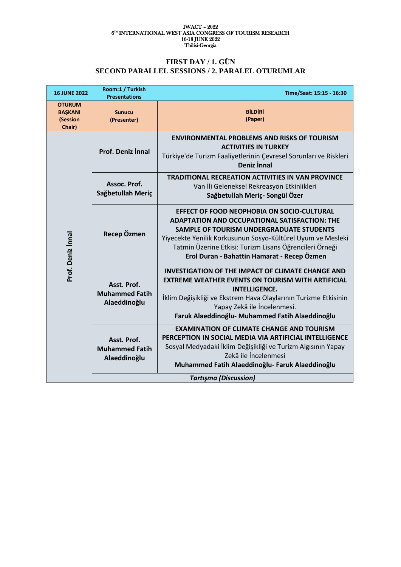# **FIRST DAY / 1. GÜN SECOND PARALLEL SESSIONS / 2. PARALEL OTURUMLAR**

| <b>16 JUNE 2022</b>                                   | Room:1 / Turkish<br><b>Presentations</b>             | Time/Saat: 15:15 - 16:30                                                                                                                                                                                                                                                                                                |
|-------------------------------------------------------|------------------------------------------------------|-------------------------------------------------------------------------------------------------------------------------------------------------------------------------------------------------------------------------------------------------------------------------------------------------------------------------|
| <b>OTURUM</b><br><b>BAŞKANI</b><br>(Session<br>Chair) | <b>Sunucu</b><br>(Presenter)                         | <b>BİLDİRİ</b><br>(Paper)                                                                                                                                                                                                                                                                                               |
| Prof. Deniz İnnal                                     | <b>Prof. Deniz İnnal</b>                             | <b>ENVIRONMENTAL PROBLEMS AND RISKS OF TOURISM</b><br><b>ACTIVITIES IN TURKEY</b><br>Türkiye'de Turizm Faaliyetlerinin Çevresel Sorunları ve Riskleri<br><b>Deniz Innal</b>                                                                                                                                             |
|                                                       | Assoc. Prof.<br>Sağbetullah Meriç                    | <b>TRADITIONAL RECREATION ACTIVITIES IN VAN PROVINCE</b><br>Van İli Geleneksel Rekreasyon Etkinlikleri<br>Sağbetullah Meriç- Songül Özer                                                                                                                                                                                |
|                                                       | Recep Özmen                                          | <b>EFFECT OF FOOD NEOPHOBIA ON SOCIO-CULTURAL</b><br>ADAPTATION AND OCCUPATIONAL SATISFACTION: THE<br>SAMPLE OF TOURISM UNDERGRADUATE STUDENTS<br>Yiyecekte Yenilik Korkusunun Sosyo-Kültürel Uyum ve Mesleki<br>Tatmin Üzerine Etkisi: Turizm Lisans Öğrencileri Örneği<br>Erol Duran - Bahattin Hamarat - Recep Özmen |
|                                                       | Asst. Prof.<br><b>Muhammed Fatih</b><br>Alaeddinoğlu | <b>INVESTIGATION OF THE IMPACT OF CLIMATE CHANGE AND</b><br><b>EXTREME WEATHER EVENTS ON TOURISM WITH ARTIFICIAL</b><br><b>INTELLIGENCE.</b><br>İklim Değişikliği ve Ekstrem Hava Olaylarının Turizme Etkisinin<br>Yapay Zekâ ile İncelenmesi.<br>Faruk Alaeddinoğlu- Muhammed Fatih Alaeddinoğlu                       |
|                                                       | Asst. Prof.<br><b>Muhammed Fatih</b><br>Alaeddinoğlu | <b>EXAMINATION OF CLIMATE CHANGE AND TOURISM</b><br>PERCEPTION IN SOCIAL MEDIA VIA ARTIFICIAL INTELLIGENCE<br>Sosyal Medyadaki İklim Değişikliği ve Turizm Algısının Yapay<br>Zekâ ile İncelenmesi<br>Muhammed Fatih Alaeddinoğlu- Faruk Alaeddinoğlu                                                                   |
|                                                       | <b>Tartışma (Discussion)</b>                         |                                                                                                                                                                                                                                                                                                                         |